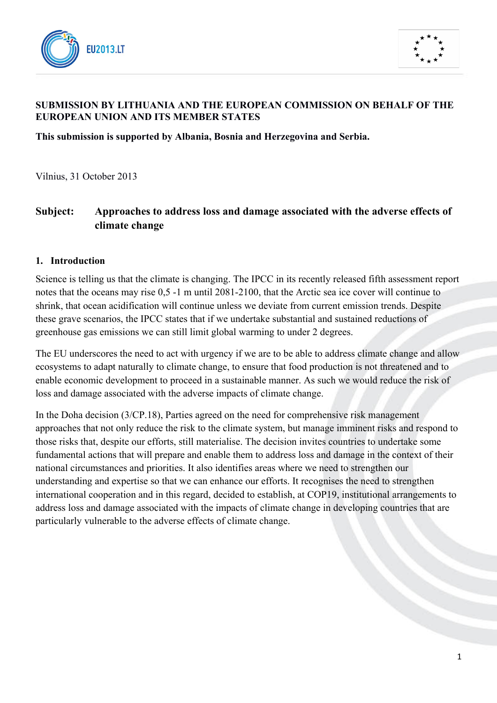



## **SUBMISSION BY LITHUANIA AND THE EUROPEAN COMMISSION ON BEHALF OF THE EUROPEAN UNION AND ITS MEMBER STATES**

**This submission is supported by Albania, Bosnia and Herzegovina and Serbia.** 

Vilnius, 31 October 2013

# **Subject: Approaches to address loss and damage associated with the adverse effects of climate change**

#### **1. Introduction**

Science is telling us that the climate is changing. The IPCC in its recently released fifth assessment report notes that the oceans may rise 0,5 -1 m until 2081-2100, that the Arctic sea ice cover will continue to shrink, that ocean acidification will continue unless we deviate from current emission trends. Despite these grave scenarios, the IPCC states that if we undertake substantial and sustained reductions of greenhouse gas emissions we can still limit global warming to under 2 degrees.

The EU underscores the need to act with urgency if we are to be able to address climate change and allow ecosystems to adapt naturally to climate change, to ensure that food production is not threatened and to enable economic development to proceed in a sustainable manner. As such we would reduce the risk of loss and damage associated with the adverse impacts of climate change.

In the Doha decision (3/CP.18), Parties agreed on the need for comprehensive risk management approaches that not only reduce the risk to the climate system, but manage imminent risks and respond to those risks that, despite our efforts, still materialise. The decision invites countries to undertake some fundamental actions that will prepare and enable them to address loss and damage in the context of their national circumstances and priorities. It also identifies areas where we need to strengthen our understanding and expertise so that we can enhance our efforts. It recognises the need to strengthen international cooperation and in this regard, decided to establish, at COP19, institutional arrangements to address loss and damage associated with the impacts of climate change in developing countries that are particularly vulnerable to the adverse effects of climate change.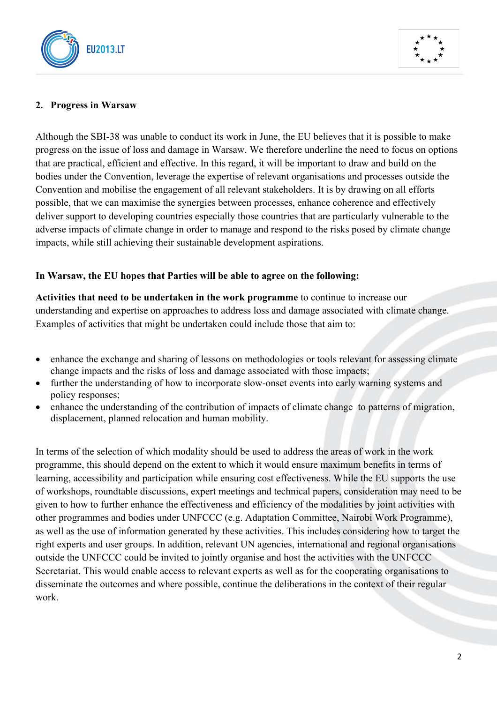



### **2. Progress in Warsaw**

Although the SBI-38 was unable to conduct its work in June, the EU believes that it is possible to make progress on the issue of loss and damage in Warsaw. We therefore underline the need to focus on options that are practical, efficient and effective. In this regard, it will be important to draw and build on the bodies under the Convention, leverage the expertise of relevant organisations and processes outside the Convention and mobilise the engagement of all relevant stakeholders. It is by drawing on all efforts possible, that we can maximise the synergies between processes, enhance coherence and effectively deliver support to developing countries especially those countries that are particularly vulnerable to the adverse impacts of climate change in order to manage and respond to the risks posed by climate change impacts, while still achieving their sustainable development aspirations.

#### **In Warsaw, the EU hopes that Parties will be able to agree on the following:**

**Activities that need to be undertaken in the work programme** to continue to increase our understanding and expertise on approaches to address loss and damage associated with climate change. Examples of activities that might be undertaken could include those that aim to:

- enhance the exchange and sharing of lessons on methodologies or tools relevant for assessing climate change impacts and the risks of loss and damage associated with those impacts;
- further the understanding of how to incorporate slow-onset events into early warning systems and policy responses;
- enhance the understanding of the contribution of impacts of climate change to patterns of migration, displacement, planned relocation and human mobility.

In terms of the selection of which modality should be used to address the areas of work in the work programme, this should depend on the extent to which it would ensure maximum benefits in terms of learning, accessibility and participation while ensuring cost effectiveness. While the EU supports the use of workshops, roundtable discussions, expert meetings and technical papers, consideration may need to be given to how to further enhance the effectiveness and efficiency of the modalities by joint activities with other programmes and bodies under UNFCCC (e.g. Adaptation Committee, Nairobi Work Programme), as well as the use of information generated by these activities. This includes considering how to target the right experts and user groups. In addition, relevant UN agencies, international and regional organisations outside the UNFCCC could be invited to jointly organise and host the activities with the UNFCCC Secretariat. This would enable access to relevant experts as well as for the cooperating organisations to disseminate the outcomes and where possible, continue the deliberations in the context of their regular work.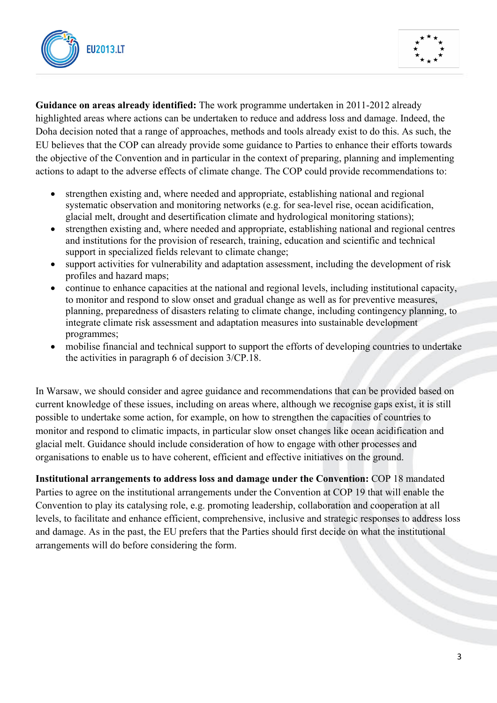



**Guidance on areas already identified:** The work programme undertaken in 2011-2012 already highlighted areas where actions can be undertaken to reduce and address loss and damage. Indeed, the Doha decision noted that a range of approaches, methods and tools already exist to do this. As such, the EU believes that the COP can already provide some guidance to Parties to enhance their efforts towards the objective of the Convention and in particular in the context of preparing, planning and implementing actions to adapt to the adverse effects of climate change. The COP could provide recommendations to:

- strengthen existing and, where needed and appropriate, establishing national and regional systematic observation and monitoring networks (e.g. for sea-level rise, ocean acidification, glacial melt, drought and desertification climate and hydrological monitoring stations);
- strengthen existing and, where needed and appropriate, establishing national and regional centres and institutions for the provision of research, training, education and scientific and technical support in specialized fields relevant to climate change;
- support activities for vulnerability and adaptation assessment, including the development of risk profiles and hazard maps;
- continue to enhance capacities at the national and regional levels, including institutional capacity, to monitor and respond to slow onset and gradual change as well as for preventive measures, planning, preparedness of disasters relating to climate change, including contingency planning, to integrate climate risk assessment and adaptation measures into sustainable development programmes;
- mobilise financial and technical support to support the efforts of developing countries to undertake the activities in paragraph 6 of decision 3/CP.18.

In Warsaw, we should consider and agree guidance and recommendations that can be provided based on current knowledge of these issues, including on areas where, although we recognise gaps exist, it is still possible to undertake some action, for example, on how to strengthen the capacities of countries to monitor and respond to climatic impacts, in particular slow onset changes like ocean acidification and glacial melt. Guidance should include consideration of how to engage with other processes and organisations to enable us to have coherent, efficient and effective initiatives on the ground.

**Institutional arrangements to address loss and damage under the Convention:** COP 18 mandated Parties to agree on the institutional arrangements under the Convention at COP 19 that will enable the Convention to play its catalysing role, e.g. promoting leadership, collaboration and cooperation at all levels, to facilitate and enhance efficient, comprehensive, inclusive and strategic responses to address loss and damage. As in the past, the EU prefers that the Parties should first decide on what the institutional arrangements will do before considering the form.